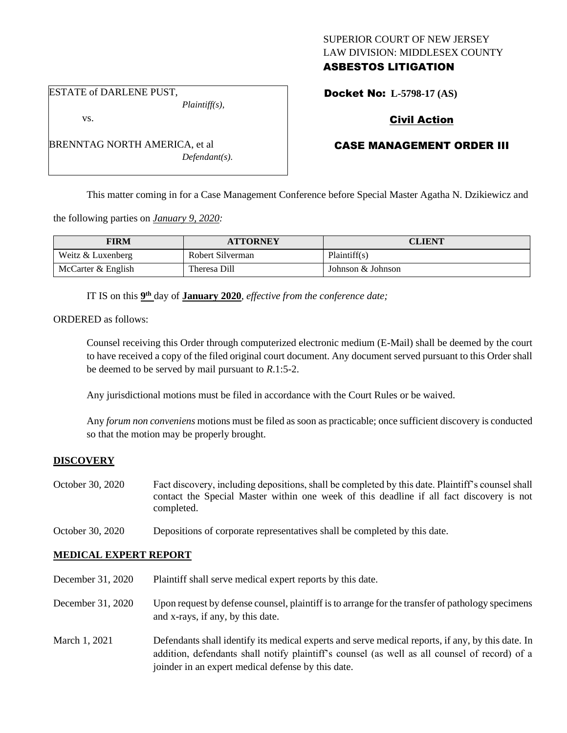# SUPERIOR COURT OF NEW JERSEY LAW DIVISION: MIDDLESEX COUNTY ASBESTOS LITIGATION

Docket No: **L-5798-17 (AS)** 

ESTATE of DARLENE PUST,

vs.

*Plaintiff(s),*

# Civil Action

# CASE MANAGEMENT ORDER III

This matter coming in for a Case Management Conference before Special Master Agatha N. Dzikiewicz and

the following parties on *January 9, 2020:*

| <b>FIRM</b>        | <b>ATTORNEY</b>  | CLIENT            |
|--------------------|------------------|-------------------|
| Weitz & Luxenberg  | Robert Silverman | Plaintiff(s)      |
| McCarter & English | Theresa Dill     | Johnson & Johnson |

IT IS on this  $9<sup>th</sup>$  day of **January 2020**, *effective from the conference date*;

ORDERED as follows:

Counsel receiving this Order through computerized electronic medium (E-Mail) shall be deemed by the court to have received a copy of the filed original court document. Any document served pursuant to this Order shall be deemed to be served by mail pursuant to *R*.1:5-2.

Any jurisdictional motions must be filed in accordance with the Court Rules or be waived.

Any *forum non conveniens* motions must be filed as soon as practicable; once sufficient discovery is conducted so that the motion may be properly brought.

# **DISCOVERY**

| October 30, 2020 | Fact discovery, including depositions, shall be completed by this date. Plaintiff's counsel shall |
|------------------|---------------------------------------------------------------------------------------------------|
|                  | contact the Special Master within one week of this deadline if all fact discovery is not          |
|                  | completed.                                                                                        |

October 30, 2020 Depositions of corporate representatives shall be completed by this date.

# **MEDICAL EXPERT REPORT**

December 31, 2020 Plaintiff shall serve medical expert reports by this date.

- December 31, 2020 Upon request by defense counsel, plaintiff is to arrange for the transfer of pathology specimens and x-rays, if any, by this date.
- March 1, 2021 Defendants shall identify its medical experts and serve medical reports, if any, by this date. In addition, defendants shall notify plaintiff's counsel (as well as all counsel of record) of a joinder in an expert medical defense by this date.

BRENNTAG NORTH AMERICA, et al *Defendant(s).*